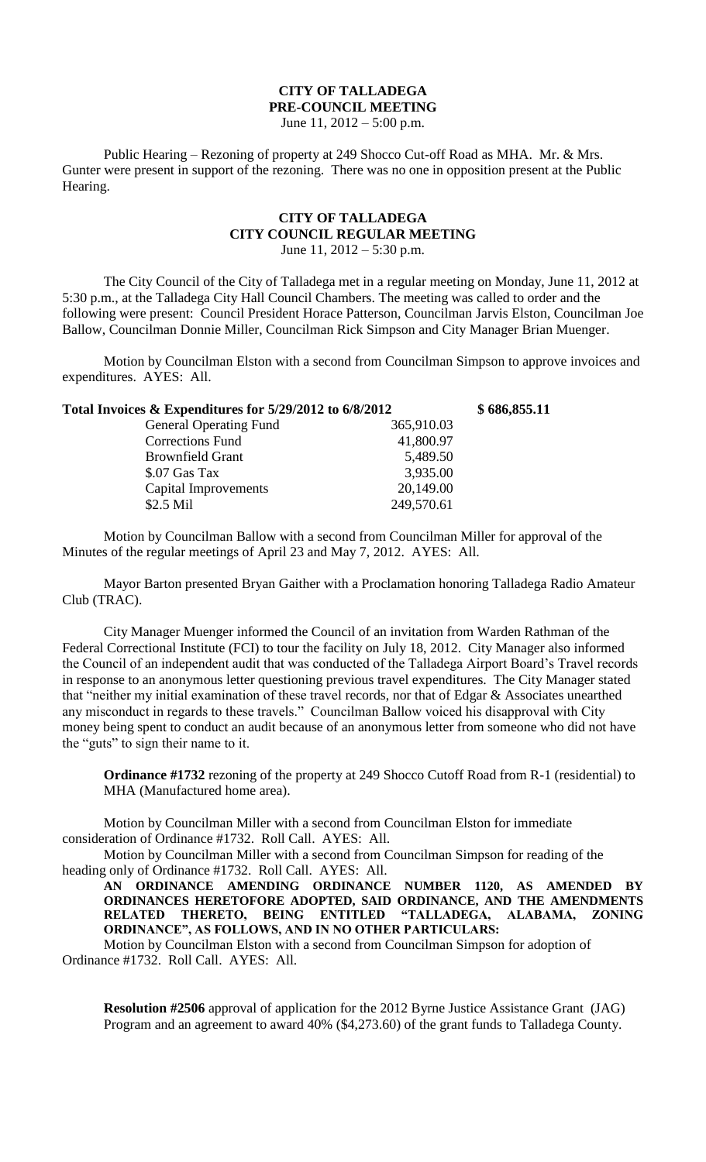## **CITY OF TALLADEGA PRE-COUNCIL MEETING**

June 11, 2012 – 5:00 p.m.

Public Hearing – Rezoning of property at 249 Shocco Cut-off Road as MHA. Mr. & Mrs. Gunter were present in support of the rezoning. There was no one in opposition present at the Public Hearing.

## **CITY OF TALLADEGA CITY COUNCIL REGULAR MEETING** June 11,  $2012 - 5:30$  p.m.

The City Council of the City of Talladega met in a regular meeting on Monday, June 11, 2012 at 5:30 p.m., at the Talladega City Hall Council Chambers. The meeting was called to order and the following were present: Council President Horace Patterson, Councilman Jarvis Elston, Councilman Joe Ballow, Councilman Donnie Miller, Councilman Rick Simpson and City Manager Brian Muenger.

Motion by Councilman Elston with a second from Councilman Simpson to approve invoices and expenditures. AYES: All.

|            | \$686,855.11                                            |
|------------|---------------------------------------------------------|
| 365,910.03 |                                                         |
| 41,800.97  |                                                         |
| 5,489.50   |                                                         |
| 3,935.00   |                                                         |
| 20,149.00  |                                                         |
| 249,570.61 |                                                         |
|            | Total Invoices & Expenditures for 5/29/2012 to 6/8/2012 |

Motion by Councilman Ballow with a second from Councilman Miller for approval of the Minutes of the regular meetings of April 23 and May 7, 2012. AYES: All.

Mayor Barton presented Bryan Gaither with a Proclamation honoring Talladega Radio Amateur Club (TRAC).

City Manager Muenger informed the Council of an invitation from Warden Rathman of the Federal Correctional Institute (FCI) to tour the facility on July 18, 2012. City Manager also informed the Council of an independent audit that was conducted of the Talladega Airport Board's Travel records in response to an anonymous letter questioning previous travel expenditures. The City Manager stated that "neither my initial examination of these travel records, nor that of Edgar & Associates unearthed any misconduct in regards to these travels." Councilman Ballow voiced his disapproval with City money being spent to conduct an audit because of an anonymous letter from someone who did not have the "guts" to sign their name to it.

**Ordinance #1732** rezoning of the property at 249 Shocco Cutoff Road from R-1 (residential) to MHA (Manufactured home area).

Motion by Councilman Miller with a second from Councilman Elston for immediate consideration of Ordinance #1732. Roll Call. AYES: All.

Motion by Councilman Miller with a second from Councilman Simpson for reading of the heading only of Ordinance #1732. Roll Call. AYES: All.

**AN ORDINANCE AMENDING ORDINANCE NUMBER 1120, AS AMENDED BY ORDINANCES HERETOFORE ADOPTED, SAID ORDINANCE, AND THE AMENDMENTS RELATED THERETO, BEING ENTITLED "TALLADEGA, ALABAMA, ZONING ORDINANCE", AS FOLLOWS, AND IN NO OTHER PARTICULARS:**

Motion by Councilman Elston with a second from Councilman Simpson for adoption of Ordinance #1732. Roll Call. AYES: All.

**Resolution #2506** approval of application for the 2012 Byrne Justice Assistance Grant (JAG) Program and an agreement to award 40% (\$4,273.60) of the grant funds to Talladega County.